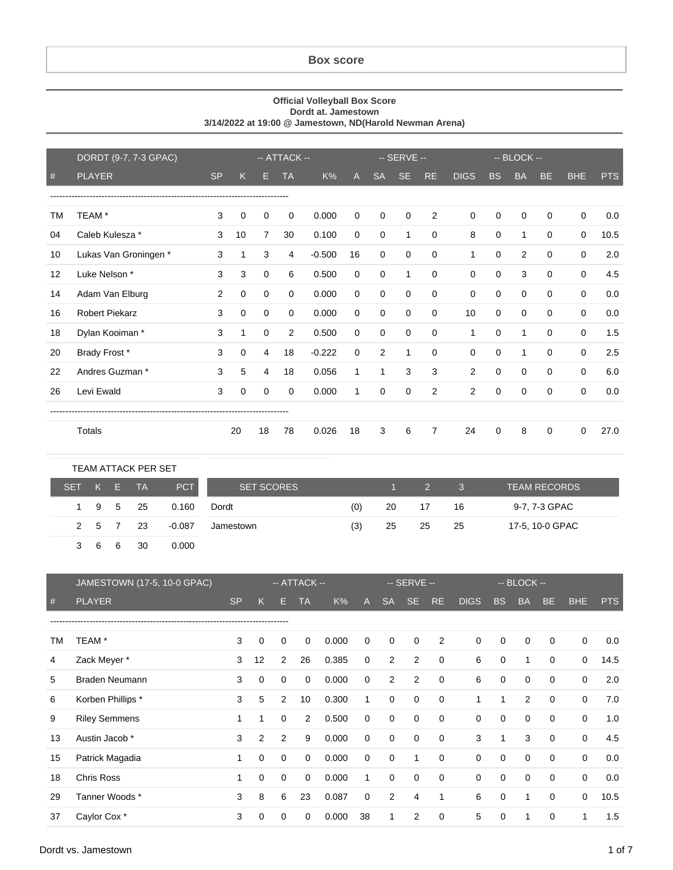## **Box score**

## **Official Volleyball Box Score Dordt at. Jamestown 3/14/2022 at 19:00 @ Jamestown, ND(Harold Newman Arena)**

|    | DORDT (9-7, 7-3 GPAC) |           | -- ATTACK -- |                |           |          |             | -- SERVE --    |           |                |              | $-$ BLOCK $-$ |              |             |             |            |
|----|-----------------------|-----------|--------------|----------------|-----------|----------|-------------|----------------|-----------|----------------|--------------|---------------|--------------|-------------|-------------|------------|
| #  | <b>PLAYER</b>         | <b>SP</b> | Κ            | н              | <b>TA</b> | K%       | A           | <b>SA</b>      | <b>SE</b> | <b>RE</b>      | <b>DIGS</b>  | <b>BS</b>     | <b>BA</b>    | <b>BE</b>   | <b>BHE</b>  | <b>PTS</b> |
|    |                       |           |              |                |           |          |             |                |           |                |              |               |              |             |             |            |
| ТM | TEAM *                | 3         | 0            | 0              | $\Omega$  | 0.000    | $\mathbf 0$ | $\Omega$       | $\Omega$  | 2              | 0            | 0             | 0            | $\Omega$    | $\mathbf 0$ | 0.0        |
| 04 | Caleb Kulesza *       | 3         | 10           | $\overline{7}$ | 30        | 0.100    | $\mathbf 0$ | $\mathbf 0$    | 1         | $\mathbf 0$    | 8            | $\mathbf 0$   | $\mathbf{1}$ | $\mathbf 0$ | $\mathbf 0$ | 10.5       |
| 10 | Lukas Van Groningen*  | 3         | 1            | 3              | 4         | $-0.500$ | 16          | 0              | 0         | $\mathbf 0$    | 1            | 0             | 2            | 0           | $\mathbf 0$ | 2.0        |
| 12 | Luke Nelson *         | 3         | 3            | $\mathbf 0$    | 6         | 0.500    | 0           | $\mathbf 0$    | 1         | 0              | $\mathbf 0$  | $\mathbf 0$   | 3            | $\Omega$    | $\mathbf 0$ | 4.5        |
| 14 | Adam Van Elburg       | 2         | $\mathbf 0$  | $\mathbf 0$    | $\Omega$  | 0.000    | $\mathbf 0$ | $\mathbf 0$    | $\Omega$  | $\mathbf 0$    | $\Omega$     | $\mathbf 0$   | $\mathbf 0$  | $\Omega$    | $\mathbf 0$ | 0.0        |
| 16 | <b>Robert Piekarz</b> | 3         | $\mathbf 0$  | $\Omega$       | $\Omega$  | 0.000    | $\mathbf 0$ | $\Omega$       | $\Omega$  | $\Omega$       | 10           | $\Omega$      | $\Omega$     | $\Omega$    | $\Omega$    | 0.0        |
| 18 | Dylan Kooiman *       | 3         | 1            | $\mathbf 0$    | 2         | 0.500    | 0           | $\mathbf 0$    | 0         | 0              | $\mathbf{1}$ | $\mathbf 0$   | $\mathbf{1}$ | $\mathbf 0$ | $\mathbf 0$ | 1.5        |
| 20 | Brady Frost*          | 3         | 0            | 4              | 18        | $-0.222$ | 0           | $\overline{2}$ | 1         | 0              | 0            | 0             | $\mathbf{1}$ | 0           | $\mathbf 0$ | 2.5        |
| 22 | Andres Guzman *       | 3         | 5            | 4              | 18        | 0.056    | 1           | 1              | 3         | 3              | 2            | $\mathbf 0$   | $\mathbf 0$  | $\Omega$    | $\mathbf 0$ | 6.0        |
| 26 | Levi Ewald            | 3         | $\mathbf 0$  | $\mathbf 0$    | $\Omega$  | 0.000    | 1           | $\Omega$       | $\Omega$  | $\overline{2}$ | 2            | $\mathbf 0$   | 0            | $\Omega$    | $\mathbf 0$ | 0.0        |
|    |                       |           |              |                |           |          |             |                |           |                |              |               |              |             |             |            |
|    | Totals                |           | 20           | 18             | 78        | 0.026    | 18          | 3              | 6         | $\overline{7}$ | 24           | 0             | 8            | 0           | $\mathbf 0$ | 27.0       |

|         |    |    | TEAM ATTACK PER SET |          |                   |     |    |                     |      |                     |
|---------|----|----|---------------------|----------|-------------------|-----|----|---------------------|------|---------------------|
| SET K E |    |    | - TA                | PCT      | <b>SET SCORES</b> |     |    | $1 \quad 2 \quad 3$ |      | <b>TEAM RECORDS</b> |
|         |    |    | 1 9 5 25            | 0.160    | Dordt             | (0) | 20 | 17                  | - 16 | 9-7, 7-3 GPAC       |
|         |    |    | 2 5 7 23            | $-0.087$ | Jamestown         | (3) | 25 | -25                 | - 25 | 17-5, 10-0 GPAC     |
|         | -6 | -6 | 30                  | 0.000    |                   |     |    |                     |      |                     |

|    | JAMESTOWN (17-5, 10-0 GPAC) |           |             |             | $-$ ATTACK $-$ |       |              |             | -- SERVE --    |             |             |             | -- BLOCK --  |             |             |            |
|----|-----------------------------|-----------|-------------|-------------|----------------|-------|--------------|-------------|----------------|-------------|-------------|-------------|--------------|-------------|-------------|------------|
| #  | <b>PLAYER</b>               | <b>SP</b> | K           | E.          | <b>TA</b>      | K%    | $\mathsf{A}$ | <b>SA</b>   | SE.            | RE.         | <b>DIGS</b> | <b>BS</b>   | <b>BA</b>    | BE.         | BHE         | <b>PTS</b> |
|    |                             |           |             |             |                |       |              |             |                |             |             |             |              |             |             |            |
| TM | TEAM <sup>*</sup>           | 3         | 0           | 0           | 0              | 0.000 | 0            | $\mathbf 0$ | $\mathbf 0$    | 2           | 0           | $\mathbf 0$ | 0            | $\mathbf 0$ | 0           | 0.0        |
| 4  | Zack Meyer *                | 3         | 12          | 2           | 26             | 0.385 | 0            | 2           | $\overline{2}$ | $\mathbf 0$ | 6           | $\mathbf 0$ | $\mathbf{1}$ | $\mathbf 0$ | $\mathbf 0$ | 14.5       |
| 5  | Braden Neumann              | 3         | $\mathbf 0$ | $\mathbf 0$ | $\mathbf 0$    | 0.000 | 0            | 2           | 2              | 0           | 6           | $\mathbf 0$ | $\mathbf 0$  | $\Omega$    | $\mathbf 0$ | 2.0        |
| 6  | Korben Phillips *           | 3         | 5           | 2           | 10             | 0.300 | 1            | $\Omega$    | $\mathbf 0$    | $\mathbf 0$ | 1           | 1           | 2            | $\Omega$    | 0           | 7.0        |
| 9  | <b>Riley Semmens</b>        | 1         |             | $\Omega$    | 2              | 0.500 | 0            | 0           | $\mathbf 0$    | $\Omega$    | 0           | 0           | $\mathbf 0$  | $\Omega$    | $\mathbf 0$ | 1.0        |
| 13 | Austin Jacob *              | 3         | 2           | 2           | 9              | 0.000 | 0            | 0           | $\mathbf 0$    | $\mathbf 0$ | 3           | 1           | 3            | $\mathbf 0$ | 0           | 4.5        |
| 15 | Patrick Magadia             |           | 0           | 0           | 0              | 0.000 | 0            | 0           | 1              | $\mathbf 0$ | 0           | 0           | 0            | $\mathbf 0$ | $\mathbf 0$ | 0.0        |
| 18 | Chris Ross                  | 1         | 0           | $\Omega$    | $\Omega$       | 0.000 | 1            | $\Omega$    | $\mathbf 0$    | $\Omega$    | 0           | $\mathbf 0$ | $\mathbf 0$  | $\mathbf 0$ | $\mathbf 0$ | 0.0        |
| 29 | Tanner Woods *              | 3         | 8           | 6           | 23             | 0.087 | $\mathbf 0$  | 2           | 4              | 1           | 6           | $\mathbf 0$ | 1            | $\mathbf 0$ | 0           | 10.5       |
| 37 | Caylor Cox <sup>*</sup>     | 3         | $\Omega$    | $\Omega$    | 0              | 0.000 | 38           | 1           | 2              | 0           | 5           | 0           | 1            | 0           | 1           | 1.5        |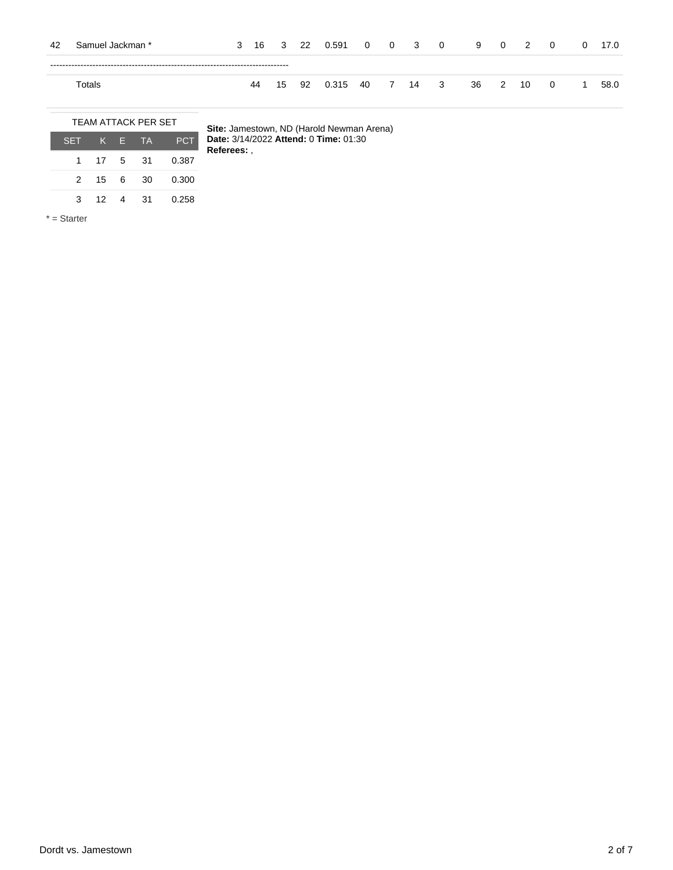| -42 | Samuel Jackman * | 3 |    |  | 16 3 22 0.591 0 0 3 0         |  |  |  | 9 0 2 | $\overline{\mathbf{0}}$ | 0 17.0 |
|-----|------------------|---|----|--|-------------------------------|--|--|--|-------|-------------------------|--------|
|     |                  |   |    |  |                               |  |  |  |       |                         |        |
|     | Totals           |   | 44 |  | 15 92 0.315 40 7 14 3 36 2 10 |  |  |  |       | $\overline{\mathbf{0}}$ | 58.0   |

|         |              | <b>TEAM ATTACK PER SET</b> |            |
|---------|--------------|----------------------------|------------|
| SET K E |              | <b>TA</b>                  | <b>PCT</b> |
|         | 1 17 5       | .31                        | 0.387      |
|         | 2 15 6       | 30                         | 0.300      |
| 3       | $12 \quad 4$ | -31                        | 0.258      |
|         |              |                            |            |

\* = Starter

**Site:** Jamestown, ND (Harold Newman Arena) **Date:** 3/14/2022 **Attend:** 0 **Time:** 01:30 ı **Referees:** ,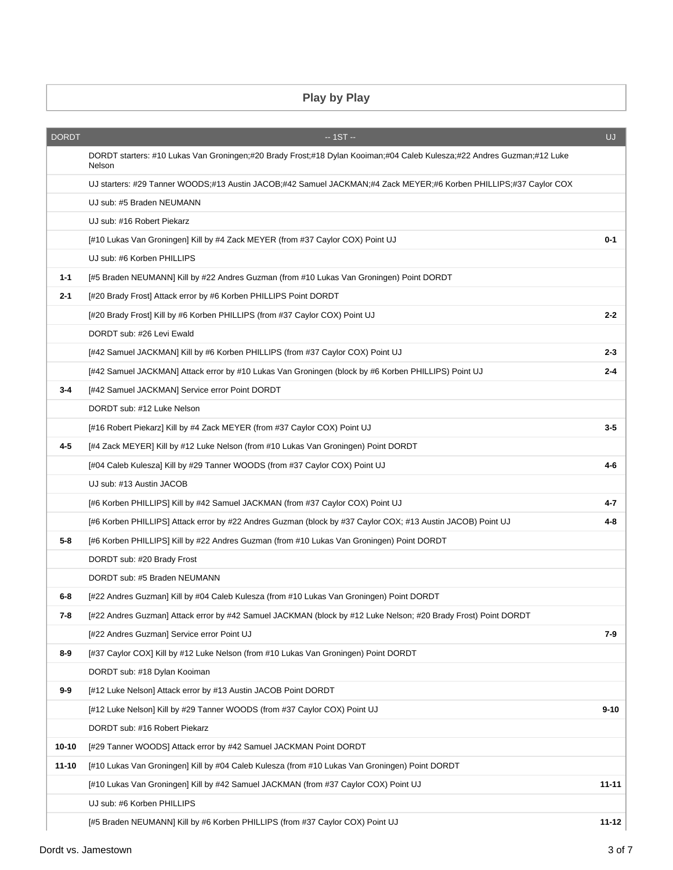## **Play by Play**

| <b>DORDT</b> | $-1ST -$                                                                                                                         | UJ        |
|--------------|----------------------------------------------------------------------------------------------------------------------------------|-----------|
|              | DORDT starters: #10 Lukas Van Groningen;#20 Brady Frost;#18 Dylan Kooiman;#04 Caleb Kulesza;#22 Andres Guzman;#12 Luke<br>Nelson |           |
|              | UJ starters: #29 Tanner WOODS;#13 Austin JACOB;#42 Samuel JACKMAN;#4 Zack MEYER;#6 Korben PHILLIPS;#37 Caylor COX                |           |
|              | UJ sub: #5 Braden NEUMANN                                                                                                        |           |
|              | UJ sub: #16 Robert Piekarz                                                                                                       |           |
|              | [#10 Lukas Van Groningen] Kill by #4 Zack MEYER (from #37 Caylor COX) Point UJ                                                   | $0 - 1$   |
|              | UJ sub: #6 Korben PHILLIPS                                                                                                       |           |
| $1 - 1$      | [#5 Braden NEUMANN] Kill by #22 Andres Guzman (from #10 Lukas Van Groningen) Point DORDT                                         |           |
| $2 - 1$      | [#20 Brady Frost] Attack error by #6 Korben PHILLIPS Point DORDT                                                                 |           |
|              | [#20 Brady Frost] Kill by #6 Korben PHILLIPS (from #37 Caylor COX) Point UJ                                                      | $2 - 2$   |
|              | DORDT sub: #26 Levi Ewald                                                                                                        |           |
|              | [#42 Samuel JACKMAN] Kill by #6 Korben PHILLIPS (from #37 Caylor COX) Point UJ                                                   | 2-3       |
|              | [#42 Samuel JACKMAN] Attack error by #10 Lukas Van Groningen (block by #6 Korben PHILLIPS) Point UJ                              | $2 - 4$   |
| $3 - 4$      | [#42 Samuel JACKMAN] Service error Point DORDT                                                                                   |           |
|              | DORDT sub: #12 Luke Nelson                                                                                                       |           |
|              | [#16 Robert Piekarz] Kill by #4 Zack MEYER (from #37 Caylor COX) Point UJ                                                        | $3 - 5$   |
| 4-5          | [#4 Zack MEYER] Kill by #12 Luke Nelson (from #10 Lukas Van Groningen) Point DORDT                                               |           |
|              | [#04 Caleb Kulesza] Kill by #29 Tanner WOODS (from #37 Caylor COX) Point UJ                                                      | 4-6       |
|              | UJ sub: #13 Austin JACOB                                                                                                         |           |
|              | [#6 Korben PHILLIPS] Kill by #42 Samuel JACKMAN (from #37 Caylor COX) Point UJ                                                   | 4-7       |
|              | [#6 Korben PHILLIPS] Attack error by #22 Andres Guzman (block by #37 Caylor COX; #13 Austin JACOB) Point UJ                      | 4-8       |
| 5-8          | [#6 Korben PHILLIPS] Kill by #22 Andres Guzman (from #10 Lukas Van Groningen) Point DORDT                                        |           |
|              | DORDT sub: #20 Brady Frost                                                                                                       |           |
|              | DORDT sub: #5 Braden NEUMANN                                                                                                     |           |
| 6-8          | [#22 Andres Guzman] Kill by #04 Caleb Kulesza (from #10 Lukas Van Groningen) Point DORDT                                         |           |
| 7-8          | [#22 Andres Guzman] Attack error by #42 Samuel JACKMAN (block by #12 Luke Nelson; #20 Brady Frost) Point DORDT                   |           |
|              | [#22 Andres Guzman] Service error Point UJ                                                                                       | 7-9       |
| $8-9$        | [#37 Caylor COX] Kill by #12 Luke Nelson (from #10 Lukas Van Groningen) Point DORDT                                              |           |
|              | DORDT sub: #18 Dylan Kooiman                                                                                                     |           |
| $9-9$        | [#12 Luke Nelson] Attack error by #13 Austin JACOB Point DORDT                                                                   |           |
|              | [#12 Luke Nelson] Kill by #29 Tanner WOODS (from #37 Caylor COX) Point UJ                                                        | $9 - 10$  |
|              | DORDT sub: #16 Robert Piekarz                                                                                                    |           |
| $10 - 10$    | [#29 Tanner WOODS] Attack error by #42 Samuel JACKMAN Point DORDT                                                                |           |
| $11 - 10$    | [#10 Lukas Van Groningen] Kill by #04 Caleb Kulesza (from #10 Lukas Van Groningen) Point DORDT                                   |           |
|              | [#10 Lukas Van Groningen] Kill by #42 Samuel JACKMAN (from #37 Caylor COX) Point UJ                                              | $11 - 11$ |
|              | UJ sub: #6 Korben PHILLIPS                                                                                                       |           |
|              | [#5 Braden NEUMANN] Kill by #6 Korben PHILLIPS (from #37 Caylor COX) Point UJ                                                    | $11 - 12$ |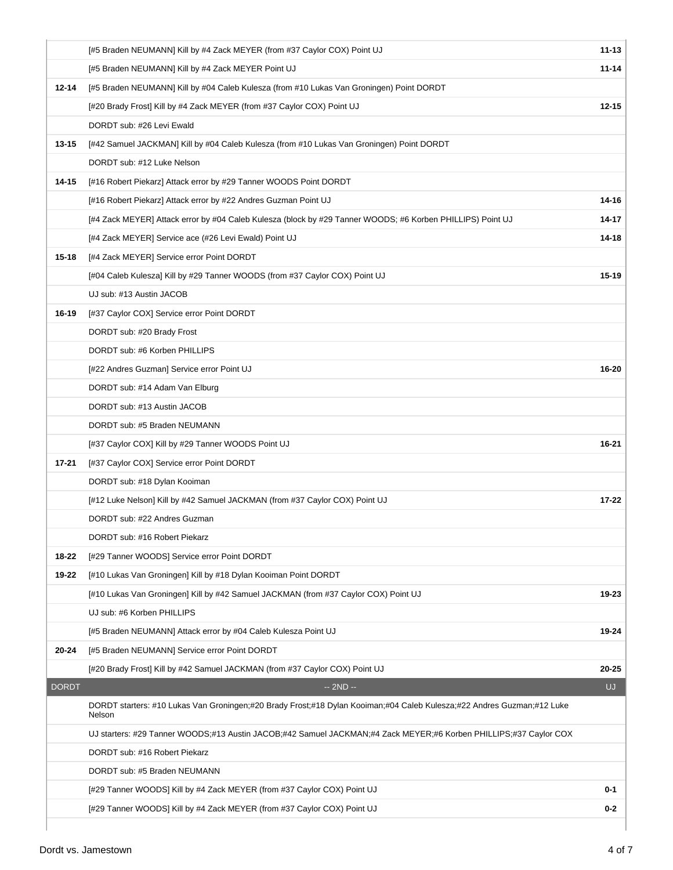|              | [#5 Braden NEUMANN] Kill by #4 Zack MEYER (from #37 Caylor COX) Point UJ                                                         | $11 - 13$ |  |  |  |  |  |  |  |  |
|--------------|----------------------------------------------------------------------------------------------------------------------------------|-----------|--|--|--|--|--|--|--|--|
|              | [#5 Braden NEUMANN] Kill by #4 Zack MEYER Point UJ                                                                               | $11 - 14$ |  |  |  |  |  |  |  |  |
| 12-14        | [#5 Braden NEUMANN] Kill by #04 Caleb Kulesza (from #10 Lukas Van Groningen) Point DORDT                                         |           |  |  |  |  |  |  |  |  |
|              | [#20 Brady Frost] Kill by #4 Zack MEYER (from #37 Caylor COX) Point UJ                                                           | $12 - 15$ |  |  |  |  |  |  |  |  |
|              | DORDT sub: #26 Levi Ewald                                                                                                        |           |  |  |  |  |  |  |  |  |
| 13-15        | [#42 Samuel JACKMAN] Kill by #04 Caleb Kulesza (from #10 Lukas Van Groningen) Point DORDT                                        |           |  |  |  |  |  |  |  |  |
|              | DORDT sub: #12 Luke Nelson                                                                                                       |           |  |  |  |  |  |  |  |  |
| 14-15        | [#16 Robert Piekarz] Attack error by #29 Tanner WOODS Point DORDT                                                                |           |  |  |  |  |  |  |  |  |
|              | [#16 Robert Piekarz] Attack error by #22 Andres Guzman Point UJ                                                                  | 14-16     |  |  |  |  |  |  |  |  |
|              | [#4 Zack MEYER] Attack error by #04 Caleb Kulesza (block by #29 Tanner WOODS; #6 Korben PHILLIPS) Point UJ                       | $14 - 17$ |  |  |  |  |  |  |  |  |
|              | [#4 Zack MEYER] Service ace (#26 Levi Ewald) Point UJ                                                                            | $14 - 18$ |  |  |  |  |  |  |  |  |
| $15 - 18$    | [#4 Zack MEYER] Service error Point DORDT                                                                                        |           |  |  |  |  |  |  |  |  |
|              | [#04 Caleb Kulesza] Kill by #29 Tanner WOODS (from #37 Caylor COX) Point UJ                                                      | $15 - 19$ |  |  |  |  |  |  |  |  |
|              | UJ sub: #13 Austin JACOB                                                                                                         |           |  |  |  |  |  |  |  |  |
| 16-19        | [#37 Caylor COX] Service error Point DORDT                                                                                       |           |  |  |  |  |  |  |  |  |
|              | DORDT sub: #20 Brady Frost                                                                                                       |           |  |  |  |  |  |  |  |  |
|              | DORDT sub: #6 Korben PHILLIPS                                                                                                    |           |  |  |  |  |  |  |  |  |
|              | [#22 Andres Guzman] Service error Point UJ                                                                                       | 16-20     |  |  |  |  |  |  |  |  |
|              | DORDT sub: #14 Adam Van Elburg                                                                                                   |           |  |  |  |  |  |  |  |  |
|              | DORDT sub: #13 Austin JACOB                                                                                                      |           |  |  |  |  |  |  |  |  |
|              | DORDT sub: #5 Braden NEUMANN                                                                                                     |           |  |  |  |  |  |  |  |  |
|              | [#37 Caylor COX] Kill by #29 Tanner WOODS Point UJ                                                                               | 16-21     |  |  |  |  |  |  |  |  |
| 17-21        | [#37 Caylor COX] Service error Point DORDT                                                                                       |           |  |  |  |  |  |  |  |  |
|              | DORDT sub: #18 Dylan Kooiman                                                                                                     |           |  |  |  |  |  |  |  |  |
|              | [#12 Luke Nelson] Kill by #42 Samuel JACKMAN (from #37 Caylor COX) Point UJ                                                      | $17 - 22$ |  |  |  |  |  |  |  |  |
|              | DORDT sub: #22 Andres Guzman                                                                                                     |           |  |  |  |  |  |  |  |  |
|              | DORDT sub: #16 Robert Piekarz                                                                                                    |           |  |  |  |  |  |  |  |  |
| 18-22        | [#29 Tanner WOODS] Service error Point DORDT                                                                                     |           |  |  |  |  |  |  |  |  |
| 19-22        | [#10 Lukas Van Groningen] Kill by #18 Dylan Kooiman Point DORDT                                                                  |           |  |  |  |  |  |  |  |  |
|              | [#10 Lukas Van Groningen] Kill by #42 Samuel JACKMAN (from #37 Caylor COX) Point UJ                                              | 19-23     |  |  |  |  |  |  |  |  |
|              | UJ sub: #6 Korben PHILLIPS                                                                                                       |           |  |  |  |  |  |  |  |  |
|              | [#5 Braden NEUMANN] Attack error by #04 Caleb Kulesza Point UJ                                                                   | 19-24     |  |  |  |  |  |  |  |  |
| 20-24        | [#5 Braden NEUMANN] Service error Point DORDT                                                                                    |           |  |  |  |  |  |  |  |  |
|              | [#20 Brady Frost] Kill by #42 Samuel JACKMAN (from #37 Caylor COX) Point UJ                                                      | $20 - 25$ |  |  |  |  |  |  |  |  |
| <b>DORDT</b> | $-2ND -$                                                                                                                         | UJ        |  |  |  |  |  |  |  |  |
|              | DORDT starters: #10 Lukas Van Groningen;#20 Brady Frost;#18 Dylan Kooiman;#04 Caleb Kulesza;#22 Andres Guzman;#12 Luke<br>Nelson |           |  |  |  |  |  |  |  |  |
|              | UJ starters: #29 Tanner WOODS;#13 Austin JACOB;#42 Samuel JACKMAN;#4 Zack MEYER;#6 Korben PHILLIPS;#37 Caylor COX                |           |  |  |  |  |  |  |  |  |
|              | DORDT sub: #16 Robert Piekarz                                                                                                    |           |  |  |  |  |  |  |  |  |
|              | DORDT sub: #5 Braden NEUMANN                                                                                                     |           |  |  |  |  |  |  |  |  |
|              | [#29 Tanner WOODS] Kill by #4 Zack MEYER (from #37 Caylor COX) Point UJ                                                          | 0-1       |  |  |  |  |  |  |  |  |
|              | [#29 Tanner WOODS] Kill by #4 Zack MEYER (from #37 Caylor COX) Point UJ                                                          | $0 - 2$   |  |  |  |  |  |  |  |  |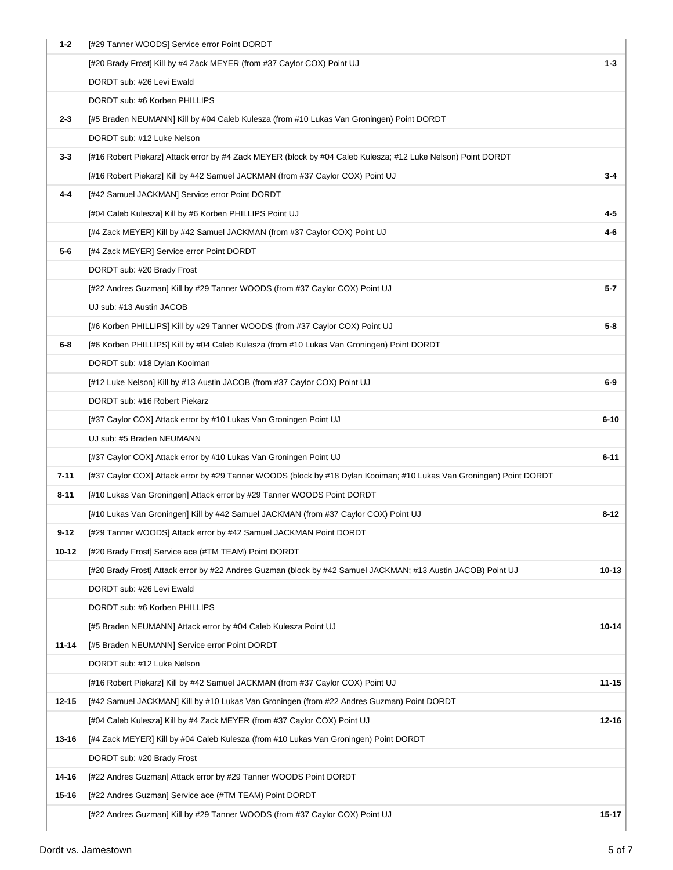| $1 - 2$  | [#29 Tanner WOODS] Service error Point DORDT                                                                        |           |
|----------|---------------------------------------------------------------------------------------------------------------------|-----------|
|          | [#20 Brady Frost] Kill by #4 Zack MEYER (from #37 Caylor COX) Point UJ                                              | $1 - 3$   |
|          | DORDT sub: #26 Levi Ewald                                                                                           |           |
|          | DORDT sub: #6 Korben PHILLIPS                                                                                       |           |
| $2 - 3$  | [#5 Braden NEUMANN] Kill by #04 Caleb Kulesza (from #10 Lukas Van Groningen) Point DORDT                            |           |
|          | DORDT sub: #12 Luke Nelson                                                                                          |           |
| $3 - 3$  | [#16 Robert Piekarz] Attack error by #4 Zack MEYER (block by #04 Caleb Kulesza; #12 Luke Nelson) Point DORDT        |           |
|          | [#16 Robert Piekarz] Kill by #42 Samuel JACKMAN (from #37 Caylor COX) Point UJ                                      | $3 - 4$   |
| $4 - 4$  | [#42 Samuel JACKMAN] Service error Point DORDT                                                                      |           |
|          | [#04 Caleb Kulesza] Kill by #6 Korben PHILLIPS Point UJ                                                             | 4-5       |
|          | [#4 Zack MEYER] Kill by #42 Samuel JACKMAN (from #37 Caylor COX) Point UJ                                           | 4-6       |
| $5-6$    | [#4 Zack MEYER] Service error Point DORDT                                                                           |           |
|          | DORDT sub: #20 Brady Frost                                                                                          |           |
|          | [#22 Andres Guzman] Kill by #29 Tanner WOODS (from #37 Caylor COX) Point UJ                                         | 5-7       |
|          | UJ sub: #13 Austin JACOB                                                                                            |           |
|          | [#6 Korben PHILLIPS] Kill by #29 Tanner WOODS (from #37 Caylor COX) Point UJ                                        | $5 - 8$   |
| $6 - 8$  | [#6 Korben PHILLIPS] Kill by #04 Caleb Kulesza (from #10 Lukas Van Groningen) Point DORDT                           |           |
|          | DORDT sub: #18 Dylan Kooiman                                                                                        |           |
|          | [#12 Luke Nelson] Kill by #13 Austin JACOB (from #37 Caylor COX) Point UJ                                           | $6-9$     |
|          | DORDT sub: #16 Robert Piekarz                                                                                       |           |
|          | [#37 Caylor COX] Attack error by #10 Lukas Van Groningen Point UJ                                                   | $6 - 10$  |
|          | UJ sub: #5 Braden NEUMANN                                                                                           |           |
|          | [#37 Caylor COX] Attack error by #10 Lukas Van Groningen Point UJ                                                   | $6 - 11$  |
| $7 - 11$ | [#37 Caylor COX] Attack error by #29 Tanner WOODS (block by #18 Dylan Kooiman; #10 Lukas Van Groningen) Point DORDT |           |
| 8-11     | [#10 Lukas Van Groningen] Attack error by #29 Tanner WOODS Point DORDT                                              |           |
|          | [#10 Lukas Van Groningen] Kill by #42 Samuel JACKMAN (from #37 Caylor COX) Point UJ                                 | $8 - 12$  |
| $9 - 12$ | [#29 Tanner WOODS] Attack error by #42 Samuel JACKMAN Point DORDT                                                   |           |
| 10-12    | [#20 Brady Frost] Service ace (#TM TEAM) Point DORDT                                                                |           |
|          | [#20 Brady Frost] Attack error by #22 Andres Guzman (block by #42 Samuel JACKMAN; #13 Austin JACOB) Point UJ        | $10 - 13$ |
|          | DORDT sub: #26 Levi Ewald                                                                                           |           |
|          | DORDT sub: #6 Korben PHILLIPS                                                                                       |           |
|          | [#5 Braden NEUMANN] Attack error by #04 Caleb Kulesza Point UJ                                                      | 10-14     |
| 11-14    | [#5 Braden NEUMANN] Service error Point DORDT                                                                       |           |
|          | DORDT sub: #12 Luke Nelson                                                                                          |           |
|          | [#16 Robert Piekarz] Kill by #42 Samuel JACKMAN (from #37 Caylor COX) Point UJ                                      | $11 - 15$ |
| 12-15    | [#42 Samuel JACKMAN] Kill by #10 Lukas Van Groningen (from #22 Andres Guzman) Point DORDT                           |           |
|          | [#04 Caleb Kulesza] Kill by #4 Zack MEYER (from #37 Caylor COX) Point UJ                                            | $12 - 16$ |
| 13-16    | [#4 Zack MEYER] Kill by #04 Caleb Kulesza (from #10 Lukas Van Groningen) Point DORDT                                |           |
|          | DORDT sub: #20 Brady Frost                                                                                          |           |
| 14-16    | [#22 Andres Guzman] Attack error by #29 Tanner WOODS Point DORDT                                                    |           |
| 15-16    | [#22 Andres Guzman] Service ace (#TM TEAM) Point DORDT                                                              |           |
|          | [#22 Andres Guzman] Kill by #29 Tanner WOODS (from #37 Caylor COX) Point UJ                                         | 15-17     |
|          |                                                                                                                     |           |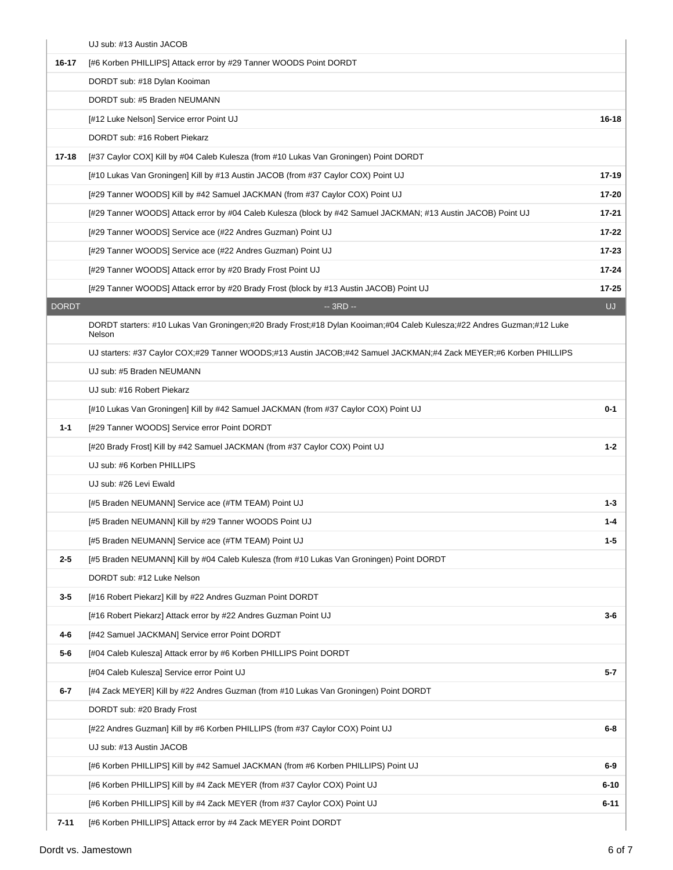|           | UJ sub: #13 Austin JACOB                                                                                                         |           |
|-----------|----------------------------------------------------------------------------------------------------------------------------------|-----------|
| 16-17     | [#6 Korben PHILLIPS] Attack error by #29 Tanner WOODS Point DORDT                                                                |           |
|           | DORDT sub: #18 Dylan Kooiman                                                                                                     |           |
|           | DORDT sub: #5 Braden NEUMANN                                                                                                     |           |
|           | [#12 Luke Nelson] Service error Point UJ                                                                                         | $16 - 18$ |
|           | DORDT sub: #16 Robert Piekarz                                                                                                    |           |
| $17 - 18$ | [#37 Caylor COX] Kill by #04 Caleb Kulesza (from #10 Lukas Van Groningen) Point DORDT                                            |           |
|           | [#10 Lukas Van Groningen] Kill by #13 Austin JACOB (from #37 Caylor COX) Point UJ                                                | $17-19$   |
|           | [#29 Tanner WOODS] Kill by #42 Samuel JACKMAN (from #37 Caylor COX) Point UJ                                                     | 17-20     |
|           | [#29 Tanner WOODS] Attack error by #04 Caleb Kulesza (block by #42 Samuel JACKMAN; #13 Austin JACOB) Point UJ                    | $17 - 21$ |
|           | [#29 Tanner WOODS] Service ace (#22 Andres Guzman) Point UJ                                                                      | $17 - 22$ |
|           | [#29 Tanner WOODS] Service ace (#22 Andres Guzman) Point UJ                                                                      | 17-23     |
|           | [#29 Tanner WOODS] Attack error by #20 Brady Frost Point UJ                                                                      | $17 - 24$ |
|           | [#29 Tanner WOODS] Attack error by #20 Brady Frost (block by #13 Austin JACOB) Point UJ                                          | 17-25     |
| DORDT     | -- 3RD --                                                                                                                        | UJ.       |
|           | DORDT starters: #10 Lukas Van Groningen;#20 Brady Frost;#18 Dylan Kooiman;#04 Caleb Kulesza;#22 Andres Guzman;#12 Luke<br>Nelson |           |
|           | UJ starters: #37 Caylor COX;#29 Tanner WOODS;#13 Austin JACOB;#42 Samuel JACKMAN;#4 Zack MEYER;#6 Korben PHILLIPS                |           |
|           | UJ sub: #5 Braden NEUMANN                                                                                                        |           |
|           | UJ sub: #16 Robert Piekarz                                                                                                       |           |
|           | [#10 Lukas Van Groningen] Kill by #42 Samuel JACKMAN (from #37 Caylor COX) Point UJ                                              | $0 - 1$   |
| $1 - 1$   | [#29 Tanner WOODS] Service error Point DORDT                                                                                     |           |
|           | [#20 Brady Frost] Kill by #42 Samuel JACKMAN (from #37 Caylor COX) Point UJ                                                      | $1 - 2$   |
|           | UJ sub: #6 Korben PHILLIPS                                                                                                       |           |
|           | UJ sub: #26 Levi Ewald                                                                                                           |           |
|           | [#5 Braden NEUMANN] Service ace (#TM TEAM) Point UJ                                                                              | $1 - 3$   |
|           | [#5 Braden NEUMANN] Kill by #29 Tanner WOODS Point UJ                                                                            | 1-4       |
|           | [#5 Braden NEUMANN] Service ace (#TM TEAM) Point UJ                                                                              | $1 - 5$   |
| $2 - 5$   | [#5 Braden NEUMANN] Kill by #04 Caleb Kulesza (from #10 Lukas Van Groningen) Point DORDT                                         |           |
|           | DORDT sub: #12 Luke Nelson                                                                                                       |           |
| $3-5$     | [#16 Robert Piekarz] Kill by #22 Andres Guzman Point DORDT                                                                       |           |
|           | [#16 Robert Piekarz] Attack error by #22 Andres Guzman Point UJ                                                                  | $3-6$     |
| 4-6       | [#42 Samuel JACKMAN] Service error Point DORDT                                                                                   |           |
| 5-6       | [#04 Caleb Kulesza] Attack error by #6 Korben PHILLIPS Point DORDT                                                               |           |
|           | [#04 Caleb Kulesza] Service error Point UJ                                                                                       | 5-7       |
| $6-7$     | [#4 Zack MEYER] Kill by #22 Andres Guzman (from #10 Lukas Van Groningen) Point DORDT                                             |           |
|           | DORDT sub: #20 Brady Frost                                                                                                       |           |
|           | [#22 Andres Guzman] Kill by #6 Korben PHILLIPS (from #37 Caylor COX) Point UJ                                                    | 6-8       |
|           | UJ sub: #13 Austin JACOB                                                                                                         |           |
|           | [#6 Korben PHILLIPS] Kill by #42 Samuel JACKMAN (from #6 Korben PHILLIPS) Point UJ                                               | $6-9$     |
|           | [#6 Korben PHILLIPS] Kill by #4 Zack MEYER (from #37 Caylor COX) Point UJ                                                        | $6 - 10$  |
|           | [#6 Korben PHILLIPS] Kill by #4 Zack MEYER (from #37 Caylor COX) Point UJ                                                        | $6 - 11$  |
| $7 - 11$  | [#6 Korben PHILLIPS] Attack error by #4 Zack MEYER Point DORDT                                                                   |           |